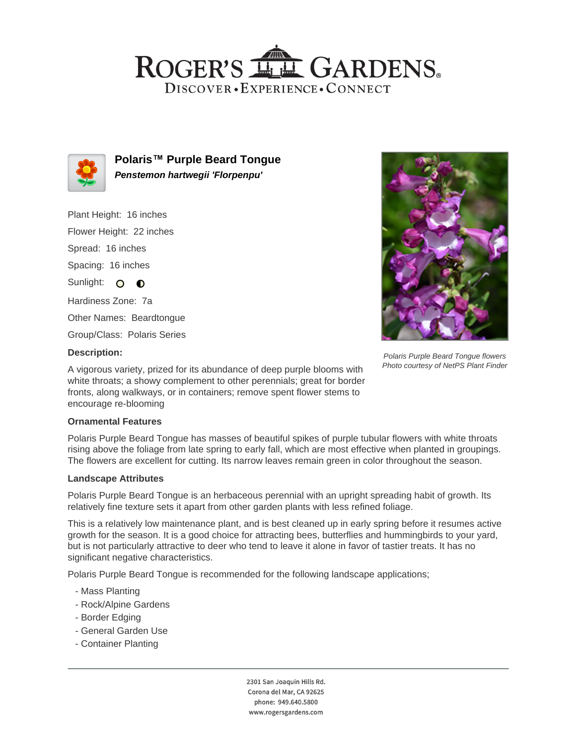## ROGER'S LL GARDENS. DISCOVER · EXPERIENCE · CONNECT



**Polaris™ Purple Beard Tongue Penstemon hartwegii 'Florpenpu'**

Plant Height: 16 inches Flower Height: 22 inches Spread: 16 inches Spacing: 16 inches Sunlight: O **O** Hardiness Zone: 7a Other Names: Beardtongue Group/Class: Polaris Series



Polaris Purple Beard Tongue flowers Photo courtesy of NetPS Plant Finder

#### **Description:**

A vigorous variety, prized for its abundance of deep purple blooms with white throats; a showy complement to other perennials; great for border fronts, along walkways, or in containers; remove spent flower stems to encourage re-blooming

### **Ornamental Features**

Polaris Purple Beard Tongue has masses of beautiful spikes of purple tubular flowers with white throats rising above the foliage from late spring to early fall, which are most effective when planted in groupings. The flowers are excellent for cutting. Its narrow leaves remain green in color throughout the season.

#### **Landscape Attributes**

Polaris Purple Beard Tongue is an herbaceous perennial with an upright spreading habit of growth. Its relatively fine texture sets it apart from other garden plants with less refined foliage.

This is a relatively low maintenance plant, and is best cleaned up in early spring before it resumes active growth for the season. It is a good choice for attracting bees, butterflies and hummingbirds to your yard, but is not particularly attractive to deer who tend to leave it alone in favor of tastier treats. It has no significant negative characteristics.

Polaris Purple Beard Tongue is recommended for the following landscape applications;

- Mass Planting
- Rock/Alpine Gardens
- Border Edging
- General Garden Use
- Container Planting

2301 San Joaquin Hills Rd. Corona del Mar, CA 92625 phone: 949.640.5800 www.rogersgardens.com